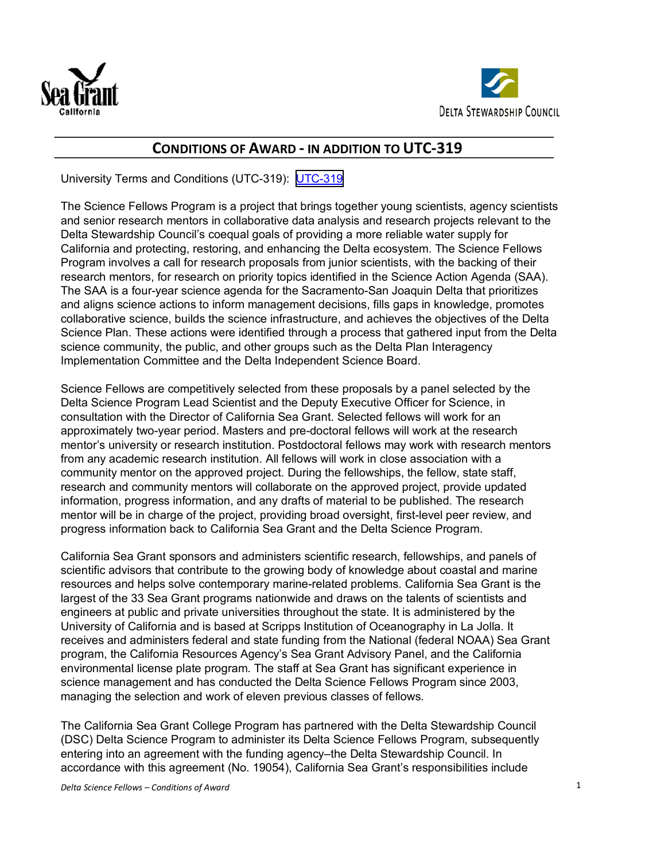



# **CONDITIONS OF AWARD - IN ADDITION TO UTC-319**

University Terms and Conditions (UTC-319): [UTC-319](https://www.dgs.ca.gov/OLS/Forms?search=UTC-319&topicCategoryFilters=&audienceCategoryFilters=&sort=relevance&activeFilters=&page=1)

The Science Fellows Program is a project that brings together young scientists, agency scientists and senior research mentors in collaborative data analysis and research projects relevant to the Delta Stewardship Council's coequal goals of providing a more reliable water supply for California and protecting, restoring, and enhancing the Delta ecosystem. The Science Fellows Program involves a call for research proposals from junior scientists, with the backing of their research mentors, for research on priority topics identified in the Science Action Agenda (SAA). The SAA is a four-year science agenda for the Sacramento-San Joaquin Delta that prioritizes and aligns science actions to inform management decisions, fills gaps in knowledge, promotes collaborative science, builds the science infrastructure, and achieves the objectives of the Delta Science Plan. These actions were identified through a process that gathered input from the Delta science community, the public, and other groups such as the Delta Plan Interagency Implementation Committee and the Delta Independent Science Board.

Science Fellows are competitively selected from these proposals by a panel selected by the Delta Science Program Lead Scientist and the Deputy Executive Officer for Science, in consultation with the Director of California Sea Grant. Selected fellows will work for an approximately two-year period. Masters and pre-doctoral fellows will work at the research mentor's university or research institution. Postdoctoral fellows may work with research mentors from any academic research institution. All fellows will work in close association with a community mentor on the approved project. During the fellowships, the fellow, state staff, research and community mentors will collaborate on the approved project, provide updated information, progress information, and any drafts of material to be published. The research mentor will be in charge of the project, providing broad oversight, first-level peer review, and progress information back to California Sea Grant and the Delta Science Program.

California Sea Grant sponsors and administers scientific research, fellowships, and panels of scientific advisors that contribute to the growing body of knowledge about coastal and marine resources and helps solve contemporary marine-related problems. California Sea Grant is the largest of the 33 Sea Grant programs nationwide and draws on the talents of scientists and engineers at public and private universities throughout the state. It is administered by the University of California and is based at Scripps Institution of Oceanography in La Jolla. It receives and administers federal and state funding from the National (federal NOAA) Sea Grant program, the California Resources Agency's Sea Grant Advisory Panel, and the California environmental license plate program. The staff at Sea Grant has significant experience in science management and has conducted the Delta Science Fellows Program since 2003, managing the selection and work of eleven previous classes of fellows.

The California Sea Grant College Program has partnered with the Delta Stewardship Council (DSC) Delta Science Program to administer its Delta Science Fellows Program, subsequently entering into an agreement with the funding agency–the Delta Stewardship Council. In accordance with this agreement (No. 19054), California Sea Grant's responsibilities include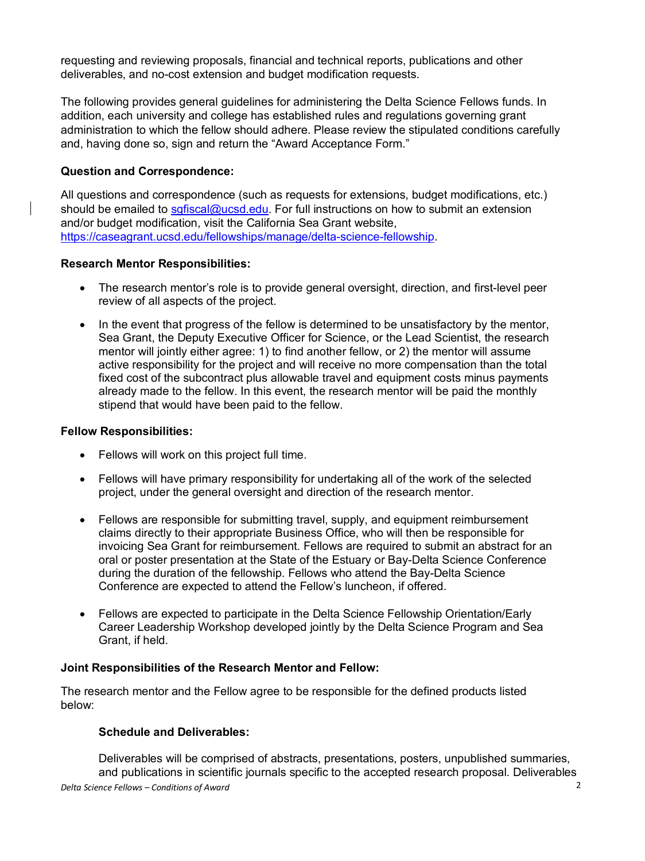requesting and reviewing proposals, financial and technical reports, publications and other deliverables, and no-cost extension and budget modification requests.

The following provides general guidelines for administering the Delta Science Fellows funds. In addition, each university and college has established rules and regulations governing grant administration to which the fellow should adhere. Please review the stipulated conditions carefully and, having done so, sign and return the "Award Acceptance Form."

# **Question and Correspondence:**

All questions and correspondence (such as requests for extensions, budget modifications, etc.) should be emailed to safiscal@ucsd.edu. For full instructions on how to submit an extension and/or budget modification, visit the California Sea Grant website, https://caseagrant.ucsd.edu/fellowships/manage/delta-science-fellowship.

## **Research Mentor Responsibilities:**

- The research mentor's role is to provide general oversight, direction, and first-level peer review of all aspects of the project.
- In the event that progress of the fellow is determined to be unsatisfactory by the mentor, Sea Grant, the Deputy Executive Officer for Science, or the Lead Scientist, the research mentor will jointly either agree: 1) to find another fellow, or 2) the mentor will assume active responsibility for the project and will receive no more compensation than the total fixed cost of the subcontract plus allowable travel and equipment costs minus payments already made to the fellow. In this event, the research mentor will be paid the monthly stipend that would have been paid to the fellow.

#### **Fellow Responsibilities:**

- Fellows will work on this project full time.
- Fellows will have primary responsibility for undertaking all of the work of the selected project, under the general oversight and direction of the research mentor.
- Fellows are responsible for submitting travel, supply, and equipment reimbursement claims directly to their appropriate Business Office, who will then be responsible for invoicing Sea Grant for reimbursement. Fellows are required to submit an abstract for an oral or poster presentation at the State of the Estuary or Bay-Delta Science Conference during the duration of the fellowship. Fellows who attend the Bay-Delta Science Conference are expected to attend the Fellow's luncheon, if offered.
- Fellows are expected to participate in the Delta Science Fellowship Orientation/Early Career Leadership Workshop developed jointly by the Delta Science Program and Sea Grant, if held.

## **Joint Responsibilities of the Research Mentor and Fellow:**

The research mentor and the Fellow agree to be responsible for the defined products listed below:

## **Schedule and Deliverables:**

*Delta Science Fellows – Conditions of Award* 2 Deliverables will be comprised of abstracts, presentations, posters, unpublished summaries, and publications in scientific journals specific to the accepted research proposal. Deliverables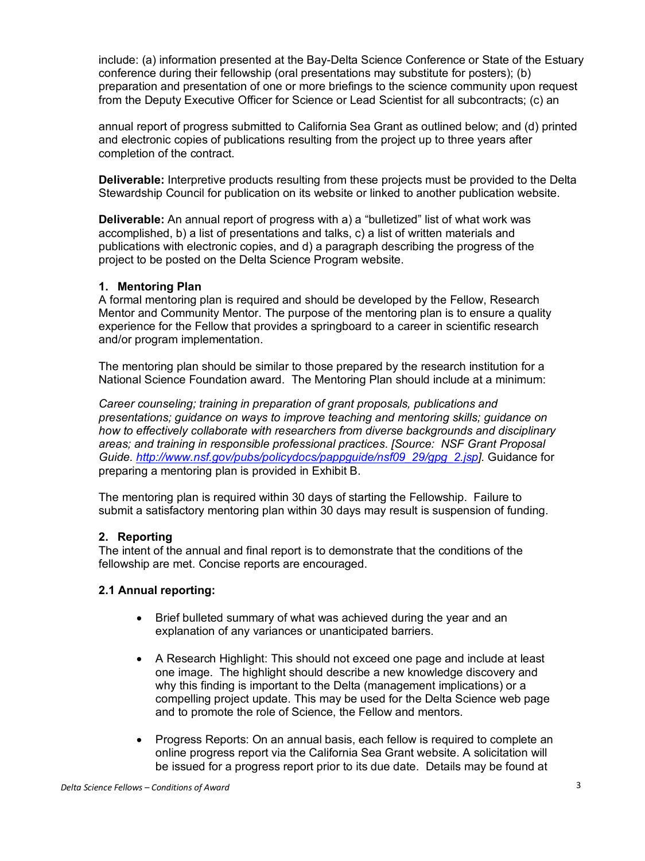include: (a) information presented at the Bay-Delta Science Conference or State of the Estuary conference during their fellowship (oral presentations may substitute for posters); (b) preparation and presentation of one or more briefings to the science community upon request from the Deputy Executive Officer for Science or Lead Scientist for all subcontracts; (c) an

annual report of progress submitted to California Sea Grant as outlined below; and (d) printed and electronic copies of publications resulting from the project up to three years after completion of the contract.

**Deliverable:** Interpretive products resulting from these projects must be provided to the Delta Stewardship Council for publication on its website or linked to another publication website.

**Deliverable:** An annual report of progress with a) a "bulletized" list of what work was accomplished, b) a list of presentations and talks, c) a list of written materials and publications with electronic copies, and d) a paragraph describing the progress of the project to be posted on the Delta Science Program website.

#### **1. Mentoring Plan**

A formal mentoring plan is required and should be developed by the Fellow, Research Mentor and Community Mentor. The purpose of the mentoring plan is to ensure a quality experience for the Fellow that provides a springboard to a career in scientific research and/or program implementation.

The mentoring plan should be similar to those prepared by the research institution for a National Science Foundation award. The Mentoring Plan should include at a minimum:

*Career counseling; training in preparation of grant proposals, publications and presentations; guidance on ways to improve teaching and mentoring skills; guidance on how to effectively collaborate with researchers from diverse backgrounds and disciplinary areas; and training in responsible professional practices*. *[Source: NSF Grant Proposal Guide. http://www.nsf.gov/pubs/policydocs/pappguide/nsf09\_29/gpg\_2.jsp].* Guidance for preparing a mentoring plan is provided in Exhibit B.

The mentoring plan is required within 30 days of starting the Fellowship. Failure to submit a satisfactory mentoring plan within 30 days may result is suspension of funding.

## **2. Reporting**

The intent of the annual and final report is to demonstrate that the conditions of the fellowship are met. Concise reports are encouraged.

## **2.1 Annual reporting:**

- Brief bulleted summary of what was achieved during the year and an explanation of any variances or unanticipated barriers.
- A Research Highlight: This should not exceed one page and include at least one image. The highlight should describe a new knowledge discovery and why this finding is important to the Delta (management implications) or a compelling project update. This may be used for the Delta Science web page and to promote the role of Science, the Fellow and mentors.
- Progress Reports: On an annual basis, each fellow is required to complete an online progress report via the California Sea Grant website. A solicitation will be issued for a progress report prior to its due date. Details may be found at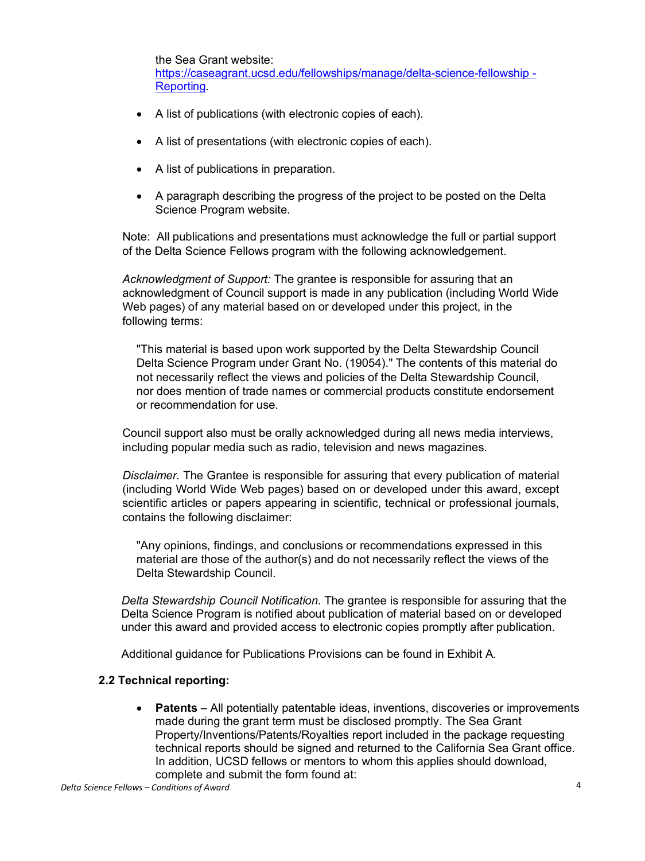the Sea Grant website: https://caseagrant.ucsd.edu/fellowships/manage/delta-science-fellowship - **Reporting** 

- A list of publications (with electronic copies of each).
- A list of presentations (with electronic copies of each).
- A list of publications in preparation.
- A paragraph describing the progress of the project to be posted on the Delta Science Program website.

Note: All publications and presentations must acknowledge the full or partial support of the Delta Science Fellows program with the following acknowledgement.

*Acknowledgment of Support:* The grantee is responsible for assuring that an acknowledgment of Council support is made in any publication (including World Wide Web pages) of any material based on or developed under this project, in the following terms:

"This material is based upon work supported by the Delta Stewardship Council Delta Science Program under Grant No. (19054)." The contents of this material do not necessarily reflect the views and policies of the Delta Stewardship Council, nor does mention of trade names or commercial products constitute endorsement or recommendation for use.

Council support also must be orally acknowledged during all news media interviews, including popular media such as radio, television and news magazines.

*Disclaimer.* The Grantee is responsible for assuring that every publication of material (including World Wide Web pages) based on or developed under this award, except scientific articles or papers appearing in scientific, technical or professional journals, contains the following disclaimer:

"Any opinions, findings, and conclusions or recommendations expressed in this material are those of the author(s) and do not necessarily reflect the views of the Delta Stewardship Council.

*Delta Stewardship Council Notification.* The grantee is responsible for assuring that the Delta Science Program is notified about publication of material based on or developed under this award and provided access to electronic copies promptly after publication.

Additional guidance for Publications Provisions can be found in Exhibit A.

## **2.2 Technical reporting:**

• **Patents** – All potentially patentable ideas, inventions, discoveries or improvements made during the grant term must be disclosed promptly. The Sea Grant Property/Inventions/Patents/Royalties report included in the package requesting technical reports should be signed and returned to the California Sea Grant office. In addition, UCSD fellows or mentors to whom this applies should download, complete and submit the form found at: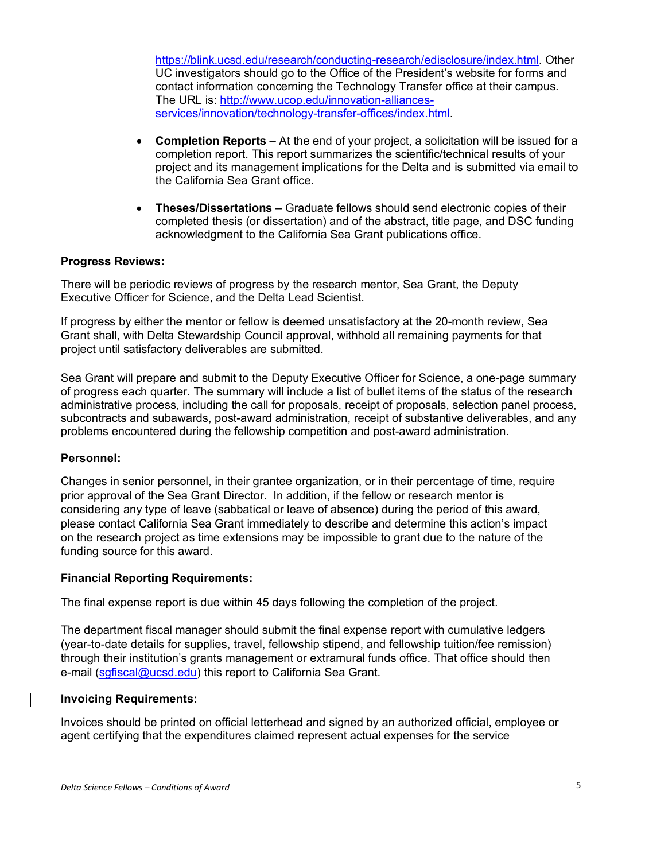https://blink.ucsd.edu/research/conducting-research/edisclosure/index.html. Other UC investigators should go to the Office of the President's website for forms and contact information concerning the Technology Transfer office at their campus. The URL is: http://www.ucop.edu/innovation-alliancesservices/innovation/technology-transfer-offices/index.html.

- **Completion Reports** At the end of your project, a solicitation will be issued for a completion report. This report summarizes the scientific/technical results of your project and its management implications for the Delta and is submitted via email to the California Sea Grant office.
- **Theses/Dissertations** Graduate fellows should send electronic copies of their completed thesis (or dissertation) and of the abstract, title page, and DSC funding acknowledgment to the California Sea Grant publications office.

## **Progress Reviews:**

There will be periodic reviews of progress by the research mentor, Sea Grant, the Deputy Executive Officer for Science, and the Delta Lead Scientist.

If progress by either the mentor or fellow is deemed unsatisfactory at the 20-month review, Sea Grant shall, with Delta Stewardship Council approval, withhold all remaining payments for that project until satisfactory deliverables are submitted.

Sea Grant will prepare and submit to the Deputy Executive Officer for Science, a one-page summary of progress each quarter. The summary will include a list of bullet items of the status of the research administrative process, including the call for proposals, receipt of proposals, selection panel process, subcontracts and subawards, post-award administration, receipt of substantive deliverables, and any problems encountered during the fellowship competition and post-award administration.

## **Personnel:**

Changes in senior personnel, in their grantee organization, or in their percentage of time, require prior approval of the Sea Grant Director. In addition, if the fellow or research mentor is considering any type of leave (sabbatical or leave of absence) during the period of this award, please contact California Sea Grant immediately to describe and determine this action's impact on the research project as time extensions may be impossible to grant due to the nature of the funding source for this award.

## **Financial Reporting Requirements:**

The final expense report is due within 45 days following the completion of the project.

The department fiscal manager should submit the final expense report with cumulative ledgers (year-to-date details for supplies, travel, fellowship stipend, and fellowship tuition/fee remission) through their institution's grants management or extramural funds office. That office should then e-mail (sgfiscal@ucsd.edu) this report to California Sea Grant.

## **Invoicing Requirements:**

Invoices should be printed on official letterhead and signed by an authorized official, employee or agent certifying that the expenditures claimed represent actual expenses for the service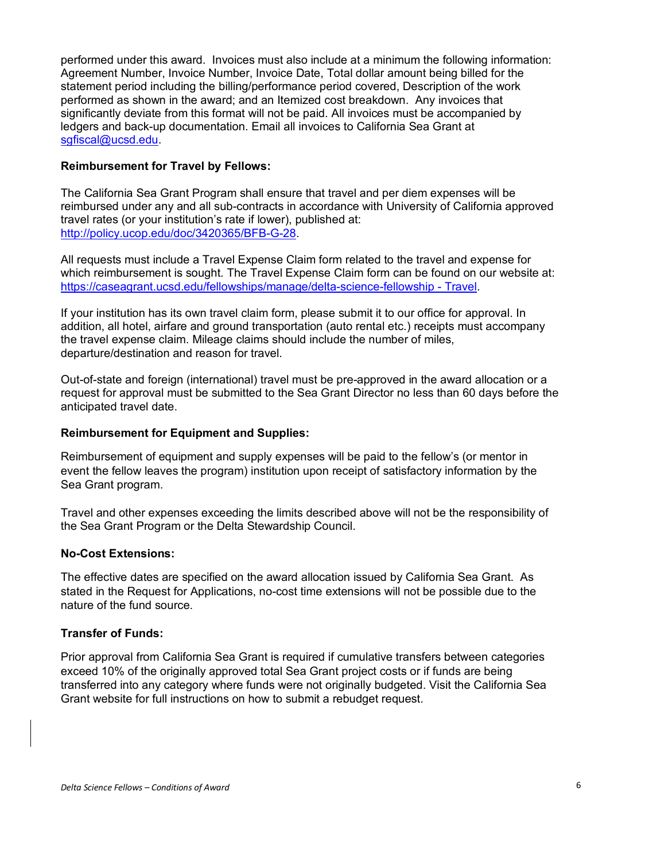performed under this award. Invoices must also include at a minimum the following information: Agreement Number, Invoice Number, Invoice Date, Total dollar amount being billed for the statement period including the billing/performance period covered, Description of the work performed as shown in the award; and an Itemized cost breakdown. Any invoices that significantly deviate from this format will not be paid. All invoices must be accompanied by ledgers and back-up documentation. Email all invoices to California Sea Grant at sgfiscal@ucsd.edu.

#### **Reimbursement for Travel by Fellows:**

The California Sea Grant Program shall ensure that travel and per diem expenses will be reimbursed under any and all sub-contracts in accordance with University of California approved travel rates (or your institution's rate if lower), published at: http://policy.ucop.edu/doc/3420365/BFB-G-28.

All requests must include a Travel Expense Claim form related to the travel and expense for which reimbursement is sought. The Travel Expense Claim form can be found on our website at: https://caseagrant.ucsd.edu/fellowships/manage/delta-science-fellowship - Travel.

If your institution has its own travel claim form, please submit it to our office for approval. In addition, all hotel, airfare and ground transportation (auto rental etc.) receipts must accompany the travel expense claim. Mileage claims should include the number of miles, departure/destination and reason for travel.

Out-of-state and foreign (international) travel must be pre-approved in the award allocation or a request for approval must be submitted to the Sea Grant Director no less than 60 days before the anticipated travel date.

## **Reimbursement for Equipment and Supplies:**

Reimbursement of equipment and supply expenses will be paid to the fellow's (or mentor in event the fellow leaves the program) institution upon receipt of satisfactory information by the Sea Grant program.

Travel and other expenses exceeding the limits described above will not be the responsibility of the Sea Grant Program or the Delta Stewardship Council.

#### **No-Cost Extensions:**

The effective dates are specified on the award allocation issued by California Sea Grant. As stated in the Request for Applications, no-cost time extensions will not be possible due to the nature of the fund source.

#### **Transfer of Funds:**

Prior approval from California Sea Grant is required if cumulative transfers between categories exceed 10% of the originally approved total Sea Grant project costs or if funds are being transferred into any category where funds were not originally budgeted. Visit the California Sea Grant website for full instructions on how to submit a rebudget request.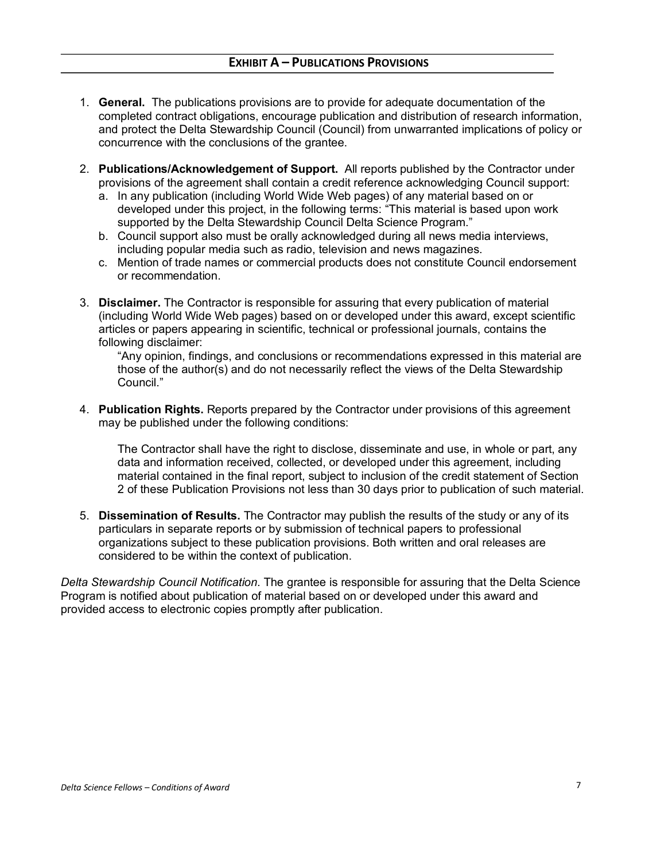- 1. **General.** The publications provisions are to provide for adequate documentation of the completed contract obligations, encourage publication and distribution of research information, and protect the Delta Stewardship Council (Council) from unwarranted implications of policy or concurrence with the conclusions of the grantee.
- 2. **Publications/Acknowledgement of Support.** All reports published by the Contractor under provisions of the agreement shall contain a credit reference acknowledging Council support:
	- a. In any publication (including World Wide Web pages) of any material based on or developed under this project, in the following terms: "This material is based upon work supported by the Delta Stewardship Council Delta Science Program."
	- b. Council support also must be orally acknowledged during all news media interviews, including popular media such as radio, television and news magazines.
	- c. Mention of trade names or commercial products does not constitute Council endorsement or recommendation.
- 3. **Disclaimer.** The Contractor is responsible for assuring that every publication of material (including World Wide Web pages) based on or developed under this award, except scientific articles or papers appearing in scientific, technical or professional journals, contains the following disclaimer:

"Any opinion, findings, and conclusions or recommendations expressed in this material are those of the author(s) and do not necessarily reflect the views of the Delta Stewardship Council."

4. **Publication Rights.** Reports prepared by the Contractor under provisions of this agreement may be published under the following conditions:

The Contractor shall have the right to disclose, disseminate and use, in whole or part, any data and information received, collected, or developed under this agreement, including material contained in the final report, subject to inclusion of the credit statement of Section 2 of these Publication Provisions not less than 30 days prior to publication of such material.

5. **Dissemination of Results.** The Contractor may publish the results of the study or any of its particulars in separate reports or by submission of technical papers to professional organizations subject to these publication provisions. Both written and oral releases are considered to be within the context of publication.

*Delta Stewardship Council Notification.* The grantee is responsible for assuring that the Delta Science Program is notified about publication of material based on or developed under this award and provided access to electronic copies promptly after publication.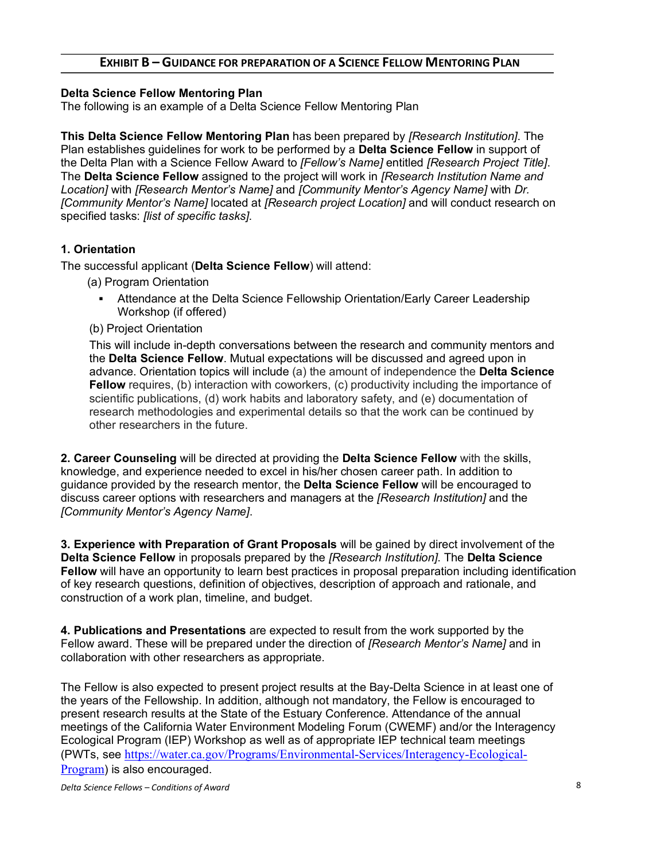# **EXHIBIT B – GUIDANCE FOR PREPARATION OF A SCIENCE FELLOW MENTORING PLAN**

## **Delta Science Fellow Mentoring Plan**

The following is an example of a Delta Science Fellow Mentoring Plan

**This Delta Science Fellow Mentoring Plan** has been prepared by *[Research Institution]*. The Plan establishes guidelines for work to be performed by a **Delta Science Fellow** in support of the Delta Plan with a Science Fellow Award to *[Fellow's Name]* entitled *[Research Project Title]*. The **Delta Science Fellow** assigned to the project will work in *[Research Institution Name and Location]* with *[Research Mentor's Nam*e*]* and *[Community Mentor's Agency Name]* with *Dr. [Community Mentor's Name]* located at *[Research project Location]* and will conduct research on specified tasks: *[list of specific tasks]*.

# **1. Orientation**

The successful applicant (**Delta Science Fellow**) will attend:

- (a) Program Orientation
	- § Attendance at the Delta Science Fellowship Orientation/Early Career Leadership Workshop (if offered)
- (b) Project Orientation

This will include in-depth conversations between the research and community mentors and the **Delta Science Fellow**. Mutual expectations will be discussed and agreed upon in advance. Orientation topics will include (a) the amount of independence the **Delta Science Fellow** requires, (b) interaction with coworkers, (c) productivity including the importance of scientific publications, (d) work habits and laboratory safety, and (e) documentation of research methodologies and experimental details so that the work can be continued by other researchers in the future.

**2. Career Counseling** will be directed at providing the **Delta Science Fellow** with the skills, knowledge, and experience needed to excel in his/her chosen career path. In addition to guidance provided by the research mentor, the **Delta Science Fellow** will be encouraged to discuss career options with researchers and managers at the *[Research Institution]* and the *[Community Mentor's Agency Name]*.

**3. Experience with Preparation of Grant Proposals** will be gained by direct involvement of the **Delta Science Fellow** in proposals prepared by the *[Research Institution]*. The **Delta Science Fellow** will have an opportunity to learn best practices in proposal preparation including identification of key research questions, definition of objectives, description of approach and rationale, and construction of a work plan, timeline, and budget.

**4. Publications and Presentations** are expected to result from the work supported by the Fellow award. These will be prepared under the direction of *[Research Mentor's Nam*e*]* and in collaboration with other researchers as appropriate.

The Fellow is also expected to present project results at the Bay-Delta Science in at least one of the years of the Fellowship. In addition, although not mandatory, the Fellow is encouraged to present research results at the State of the Estuary Conference. Attendance of the annual meetings of the California Water Environment Modeling Forum (CWEMF) and/or the Interagency Ecological Program (IEP) Workshop as well as of appropriate IEP technical team meetings (PWTs, see https://water.ca.gov/Programs/Environmental-Services/Interagency-Ecological-Program) is also encouraged.

*Delta Science Fellows – Conditions of Award* 8